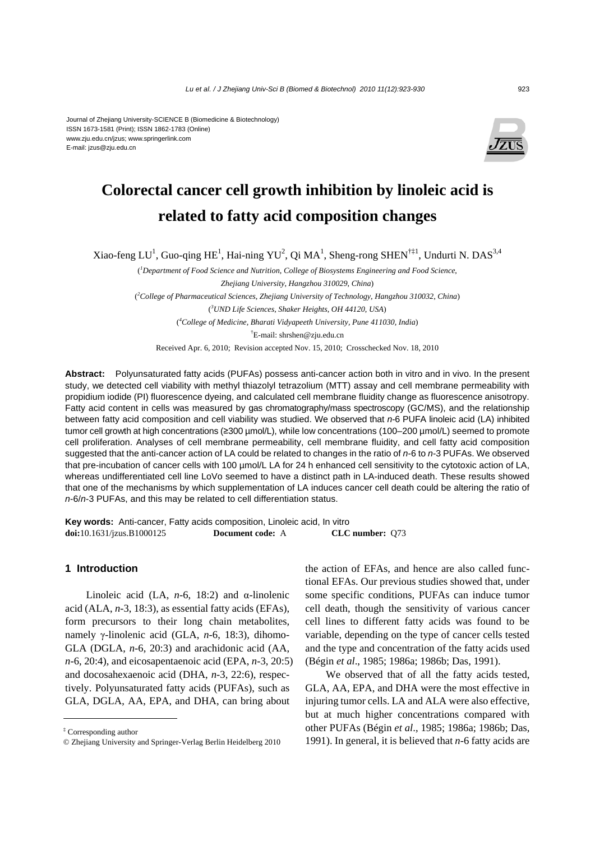#### Journal of Zhejiang University-SCIENCE B (Biomedicine & Biotechnology) ISSN 1673-1581 (Print); ISSN 1862-1783 (Online) www.zju.edu.cn/jzus; www.springerlink.com E-mail: jzus@zju.edu.cn



# **Colorectal cancer cell growth inhibition by linoleic acid is related to fatty acid composition changes**

Xiao-feng LU<sup>1</sup>, Guo-qing HE<sup>1</sup>, Hai-ning YU<sup>2</sup>, Qi MA<sup>1</sup>, Sheng-rong SHEN<sup>†‡1</sup>, Undurti N. DAS<sup>3,4</sup>

( *1 Department of Food Science and Nutrition*, *College of Biosystems Engineering and Food Science*, *Zhejiang University*, *Hangzhou 310029*, *China*) ( *2 College of Pharmaceutical Sciences*, *Zhejiang University of Technology*, *Hangzhou 310032*, *China*) ( *3 UND Life Sciences*, *Shaker Heights*, *OH 44120*, *USA*) ( *4 College of Medicine, Bharati Vidyapeeth University, Pune 411030, India*) † E-mail: shrshen@zju.edu.cn Received Apr. 6, 2010; Revision accepted Nov. 15, 2010; Crosschecked Nov. 18, 2010

**Abstract:** Polyunsaturated fatty acids (PUFAs) possess anti-cancer action both in vitro and in vivo. In the present study, we detected cell viability with methyl thiazolyl tetrazolium (MTT) assay and cell membrane permeability with propidium iodide (PI) fluorescence dyeing, and calculated cell membrane fluidity change as fluorescence anisotropy. Fatty acid content in cells was measured by gas chromatography/mass spectroscopy (GC/MS), and the relationship between fatty acid composition and cell viability was studied. We observed that *n*-6 PUFA linoleic acid (LA) inhibited tumor cell growth at high concentrations (≥300 µmol/L), while low concentrations (100–200 µmol/L) seemed to promote cell proliferation. Analyses of cell membrane permeability, cell membrane fluidity, and cell fatty acid composition suggested that the anti-cancer action of LA could be related to changes in the ratio of *n*-6 to *n*-3 PUFAs. We observed that pre-incubation of cancer cells with 100 µmol/L LA for 24 h enhanced cell sensitivity to the cytotoxic action of LA, whereas undifferentiated cell line LoVo seemed to have a distinct path in LA-induced death. These results showed that one of the mechanisms by which supplementation of LA induces cancer cell death could be altering the ratio of *n*-6/*n*-3 PUFAs, and this may be related to cell differentiation status.

**Key words:** Anti-cancer, Fatty acids composition, Linoleic acid, In vitro **doi:**10.1631/jzus.B1000125 **Document code:** A **CLC number:** Q73

# **1 Introduction**

Linoleic acid (LA, *n*-6, 18:2) and α-linolenic acid (ALA, *n*-3, 18:3), as essential fatty acids (EFAs), form precursors to their long chain metabolites, namely γ-linolenic acid (GLA, *n*-6, 18:3), dihomo-GLA (DGLA, *n*-6, 20:3) and arachidonic acid (AA, *n*-6, 20:4), and eicosapentaenoic acid (EPA, *n*-3, 20:5) and docosahexaenoic acid (DHA, *n*-3, 22:6), respectively. Polyunsaturated fatty acids (PUFAs), such as GLA, DGLA, AA, EPA, and DHA, can bring about

the action of EFAs, and hence are also called functional EFAs. Our previous studies showed that, under some specific conditions, PUFAs can induce tumor cell death, though the sensitivity of various cancer cell lines to different fatty acids was found to be variable, depending on the type of cancer cells tested and the type and concentration of the fatty acids used (Bégin *et al*., 1985; 1986a; 1986b; Das, 1991).

We observed that of all the fatty acids tested, GLA, AA, EPA, and DHA were the most effective in injuring tumor cells. LA and ALA were also effective, but at much higher concentrations compared with other PUFAs (Bégin *et al*., 1985; 1986a; 1986b; Das, 1991). In general, it is believed that *n*-6 fatty acids are

<sup>‡</sup> Corresponding author

<sup>©</sup> Zhejiang University and Springer-Verlag Berlin Heidelberg 2010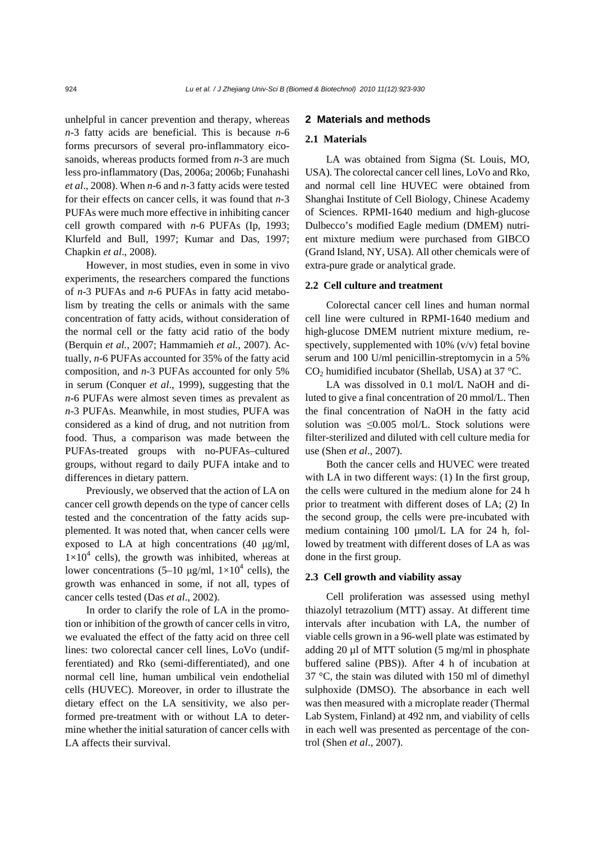unhelpful in cancer prevention and therapy, whereas *n*-3 fatty acids are beneficial. This is because *n*-6 forms precursors of several pro-inflammatory eicosanoids, whereas products formed from *n*-3 are much less pro-inflammatory (Das, 2006a; 2006b; Funahashi *et al*., 2008). When *n*-6 and *n*-3 fatty acids were tested for their effects on cancer cells, it was found that *n*-3 PUFAs were much more effective in inhibiting cancer cell growth compared with *n*-6 PUFAs (Ip, 1993; Klurfeld and Bull, 1997; Kumar and Das, 1997; Chapkin *et al*., 2008).

However, in most studies, even in some in vivo experiments, the researchers compared the functions of *n*-3 PUFAs and *n*-6 PUFAs in fatty acid metabolism by treating the cells or animals with the same concentration of fatty acids, without consideration of the normal cell or the fatty acid ratio of the body (Berquin *et al.*, 2007; Hammamieh *et al.*, 2007). Actually, *n*-6 PUFAs accounted for 35% of the fatty acid composition, and *n*-3 PUFAs accounted for only 5% in serum (Conquer *et al*., 1999), suggesting that the *n*-6 PUFAs were almost seven times as prevalent as *n*-3 PUFAs. Meanwhile, in most studies, PUFA was considered as a kind of drug, and not nutrition from food. Thus, a comparison was made between the PUFAs-treated groups with no-PUFAs–cultured groups, without regard to daily PUFA intake and to differences in dietary pattern.

Previously, we observed that the action of LA on cancer cell growth depends on the type of cancer cells tested and the concentration of the fatty acids supplemented. It was noted that, when cancer cells were exposed to LA at high concentrations (40 μg/ml,  $1\times10^4$  cells), the growth was inhibited, whereas at lower concentrations  $(5-10 \text{ µg/ml}, 1\times10^4 \text{ cells})$ , the growth was enhanced in some, if not all, types of cancer cells tested (Das *et al*., 2002).

In order to clarify the role of LA in the promotion or inhibition of the growth of cancer cells in vitro, we evaluated the effect of the fatty acid on three cell lines: two colorectal cancer cell lines, LoVo (undifferentiated) and Rko (semi-differentiated), and one normal cell line, human umbilical vein endothelial cells (HUVEC). Moreover, in order to illustrate the dietary effect on the LA sensitivity, we also performed pre-treatment with or without LA to determine whether the initial saturation of cancer cells with LA affects their survival.

## **2 Materials and methods**

## **2.1 Materials**

LA was obtained from Sigma (St. Louis, MO, USA). The colorectal cancer cell lines, LoVo and Rko, and normal cell line HUVEC were obtained from Shanghai Institute of Cell Biology, Chinese Academy of Sciences. RPMI-1640 medium and high-glucose Dulbecco's modified Eagle medium (DMEM) nutrient mixture medium were purchased from GIBCO (Grand Island, NY, USA). All other chemicals were of extra-pure grade or analytical grade.

#### **2.2 Cell culture and treatment**

Colorectal cancer cell lines and human normal cell line were cultured in RPMI-1640 medium and high-glucose DMEM nutrient mixture medium, respectively, supplemented with  $10\%$  (v/v) fetal bovine serum and 100 U/ml penicillin-streptomycin in a 5%  $CO<sub>2</sub>$  humidified incubator (Shellab, USA) at 37 °C.

LA was dissolved in 0.1 mol/L NaOH and diluted to give a final concentration of 20 mmol/L. Then the final concentration of NaOH in the fatty acid solution was ≤0.005 mol/L. Stock solutions were filter-sterilized and diluted with cell culture media for use (Shen *et al*., 2007).

Both the cancer cells and HUVEC were treated with LA in two different ways: (1) In the first group, the cells were cultured in the medium alone for 24 h prior to treatment with different doses of LA; (2) In the second group, the cells were pre-incubated with medium containing 100 µmol/L LA for 24 h, followed by treatment with different doses of LA as was done in the first group.

## **2.3 Cell growth and viability assay**

Cell proliferation was assessed using methyl thiazolyl tetrazolium (MTT) assay. At different time intervals after incubation with LA, the number of viable cells grown in a 96-well plate was estimated by adding 20  $\mu$ l of MTT solution (5 mg/ml in phosphate buffered saline (PBS)). After 4 h of incubation at 37 °C, the stain was diluted with 150 ml of dimethyl sulphoxide (DMSO). The absorbance in each well was then measured with a microplate reader (Thermal Lab System, Finland) at 492 nm, and viability of cells in each well was presented as percentage of the control (Shen *et al*., 2007).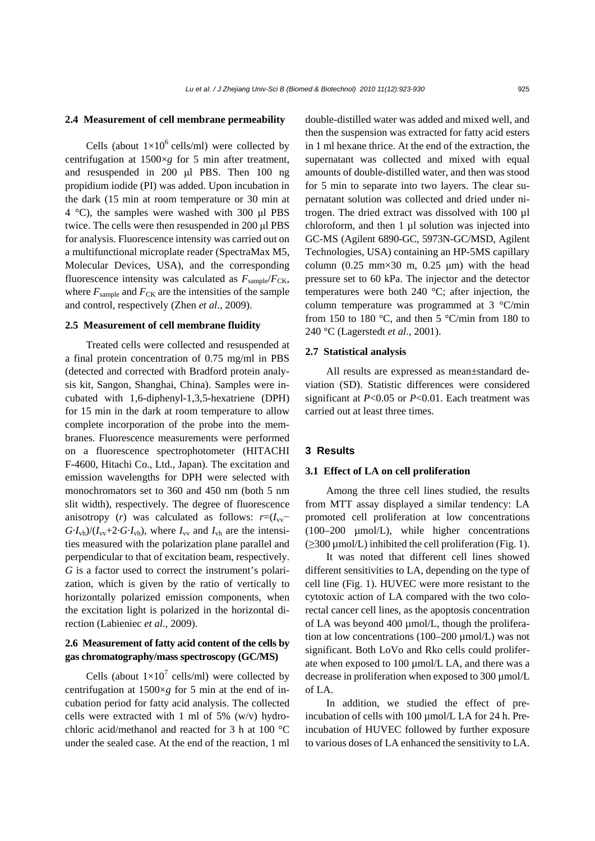#### **2.4 Measurement of cell membrane permeability**

Cells (about  $1\times10^6$  cells/ml) were collected by centrifugation at 1500×*g* for 5 min after treatment, and resuspended in 200 μl PBS. Then 100 ng propidium iodide (PI) was added. Upon incubation in the dark (15 min at room temperature or 30 min at 4 °C), the samples were washed with 300 μl PBS twice. The cells were then resuspended in 200 μl PBS for analysis. Fluorescence intensity was carried out on a multifunctional microplate reader (SpectraMax M5, Molecular Devices, USA), and the corresponding fluorescence intensity was calculated as  $F_{\text{sample}}/F_{\text{CK}}$ , where  $F_{\text{sample}}$  and  $F_{\text{CK}}$  are the intensities of the sample and control, respectively (Zhen *et al*., 2009).

## **2.5 Measurement of cell membrane fluidity**

Treated cells were collected and resuspended at a final protein concentration of 0.75 mg/ml in PBS (detected and corrected with Bradford protein analysis kit, Sangon, Shanghai, China). Samples were incubated with 1,6-diphenyl-1,3,5-hexatriene (DPH) for 15 min in the dark at room temperature to allow complete incorporation of the probe into the membranes. Fluorescence measurements were performed on a fluorescence spectrophotometer (HITACHI F-4600, Hitachi Co., Ltd., Japan). The excitation and emission wavelengths for DPH were selected with monochromators set to 360 and 450 nm (both 5 nm slit width), respectively. The degree of fluorescence anisotropy (*r*) was calculated as follows:  $r=(I_{vv}-I_{vv})$  $G \cdot I_{\text{vh}}/(I_{\text{vv}}+2 \cdot G \cdot I_{\text{vh}})$ , where  $I_{\text{vv}}$  and  $I_{\text{vh}}$  are the intensities measured with the polarization plane parallel and perpendicular to that of excitation beam, respectively. *G* is a factor used to correct the instrument's polarization, which is given by the ratio of vertically to horizontally polarized emission components, when the excitation light is polarized in the horizontal direction (Labieniec *et al*., 2009).

# **2.6 Measurement of fatty acid content of the cells by gas chromatography/mass spectroscopy (GC/MS)**

Cells (about  $1\times10^7$  cells/ml) were collected by centrifugation at 1500×*g* for 5 min at the end of incubation period for fatty acid analysis. The collected cells were extracted with 1 ml of 5%  $(w/v)$  hydrochloric acid/methanol and reacted for 3 h at 100 °C under the sealed case. At the end of the reaction, 1 ml

double-distilled water was added and mixed well, and then the suspension was extracted for fatty acid esters in 1 ml hexane thrice. At the end of the extraction, the supernatant was collected and mixed with equal amounts of double-distilled water, and then was stood for 5 min to separate into two layers. The clear supernatant solution was collected and dried under nitrogen. The dried extract was dissolved with 100 µl chloroform, and then 1 µl solution was injected into GC-MS (Agilent 6890-GC, 5973N-GC/MSD, Agilent Technologies, USA) containing an HP-5MS capillary column  $(0.25 \text{ mm} \times 30 \text{ m}, 0.25 \text{ \mu m})$  with the head pressure set to 60 kPa. The injector and the detector temperatures were both 240 °C; after injection, the column temperature was programmed at 3 °C/min from 150 to 180 °C, and then 5 °C/min from 180 to 240 °C (Lagerstedt *et al*., 2001).

#### **2.7 Statistical analysis**

All results are expressed as mean±standard deviation (SD). Statistic differences were considered significant at *P*<0.05 or *P*<0.01. Each treatment was carried out at least three times.

#### **3 Results**

#### **3.1 Effect of LA on cell proliferation**

Among the three cell lines studied, the results from MTT assay displayed a similar tendency: LA promoted cell proliferation at low concentrations (100–200 µmol/L), while higher concentrations  $(≥300 \mu$ mol/L) inhibited the cell proliferation (Fig. 1).

It was noted that different cell lines showed different sensitivities to LA, depending on the type of cell line (Fig. 1). HUVEC were more resistant to the cytotoxic action of LA compared with the two colorectal cancer cell lines, as the apoptosis concentration of LA was beyond 400 µmol/L, though the proliferation at low concentrations  $(100-200 \mu \text{mol/L})$  was not significant. Both LoVo and Rko cells could proliferate when exposed to 100 µmol/L LA, and there was a decrease in proliferation when exposed to 300 µmol/L of LA.

In addition, we studied the effect of preincubation of cells with 100  $\mu$ mol/L LA for 24 h. Preincubation of HUVEC followed by further exposure to various doses of LA enhanced the sensitivity to LA.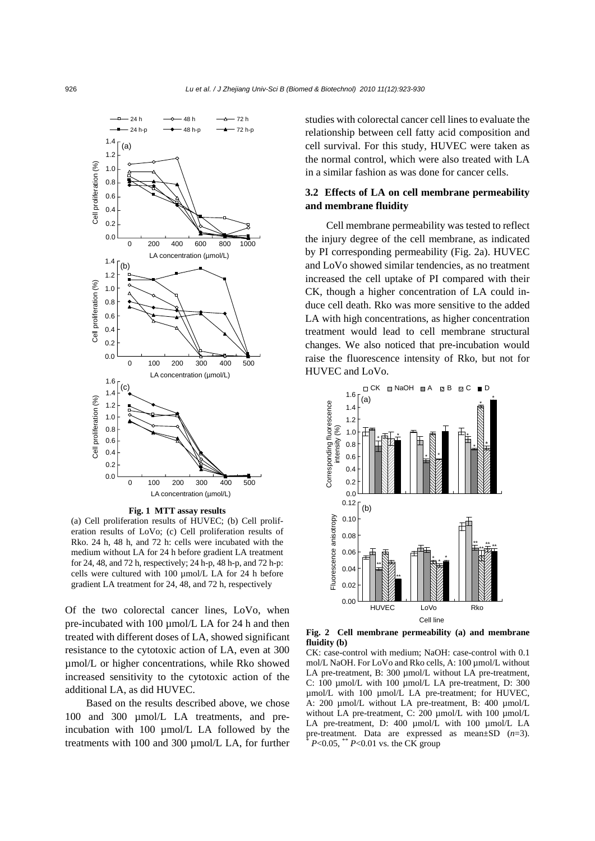

**Fig. 1 MTT assay results** 

(a) Cell proliferation results of HUVEC; (b) Cell proliferation results of LoVo; (c) Cell proliferation results of Rko. 24 h, 48 h, and 72 h: cells were incubated with the medium without LA for 24 h before gradient LA treatment for 24, 48, and 72 h, respectively; 24 h-p, 48 h-p, and 72 h-p: cells were cultured with 100 µmol/L LA for 24 h before gradient LA treatment for 24, 48, and 72 h, respectively

Of the two colorectal cancer lines, LoVo, when pre-incubated with 100  $\mu$ mol/L LA for 24 h and then treated with different doses of LA, showed significant resistance to the cytotoxic action of LA, even at 300 µmol/L or higher concentrations, while Rko showed increased sensitivity to the cytotoxic action of the additional LA, as did HUVEC.

Based on the results described above, we chose 100 and 300 µmol/L LA treatments, and preincubation with 100 µmol/L LA followed by the treatments with 100 and 300 µmol/L LA, for further studies with colorectal cancer cell lines to evaluate the relationship between cell fatty acid composition and cell survival. For this study, HUVEC were taken as the normal control, which were also treated with LA in a similar fashion as was done for cancer cells.

# **3.2 Effects of LA on cell membrane permeability and membrane fluidity**

Cell membrane permeability was tested to reflect the injury degree of the cell membrane, as indicated by PI corresponding permeability (Fig. 2a). HUVEC and LoVo showed similar tendencies, as no treatment increased the cell uptake of PI compared with their CK, though a higher concentration of LA could induce cell death. Rko was more sensitive to the added LA with high concentrations, as higher concentration treatment would lead to cell membrane structural changes. We also noticed that pre-incubation would raise the fluorescence intensity of Rko, but not for HUVEC and LoVo.



**Fig. 2 Cell membrane permeability (a) and membrane fluidity (b)** 

CK: case-control with medium; NaOH: case-control with 0.1 mol/L NaOH. For LoVo and Rko cells, A: 100 µmol/L without LA pre-treatment, B: 300 µmol/L without LA pre-treatment, C: 100 µmol/L with 100 µmol/L LA pre-treatment, D: 300 umol/L with 100 µmol/L LA pre-treatment; for HUVEC, A: 200 µmol/L without LA pre-treatment, B: 400 µmol/L without LA pre-treatment, C: 200 µmol/L with 100 µmol/L LA pre-treatment, D: 400 µmol/L with 100 µmol/L LA pre-treatment. Data are expressed as mean±SD (*n*=3).  $* P < 0.05$ ,  $* P < 0.01$  vs. the CK group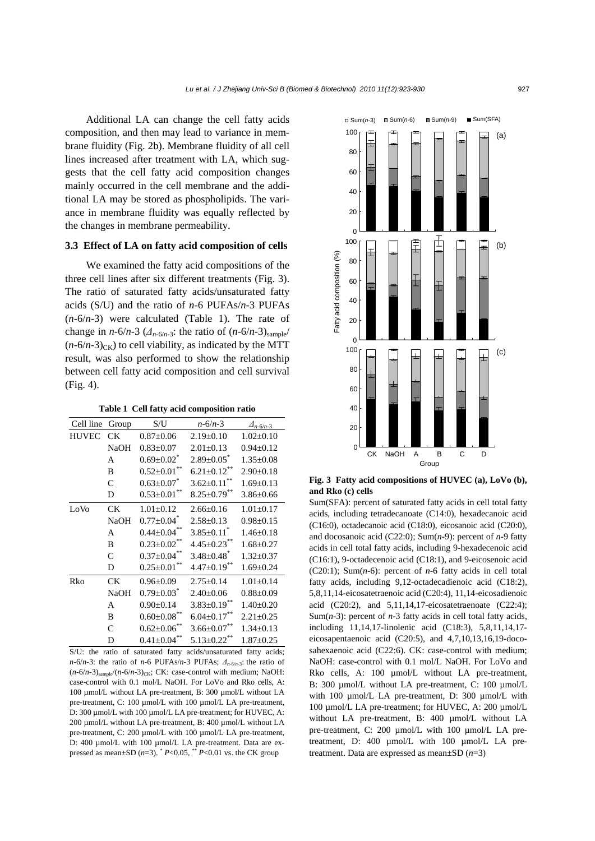Additional LA can change the cell fatty acids composition, and then may lead to variance in membrane fluidity (Fig. 2b). Membrane fluidity of all cell lines increased after treatment with LA, which suggests that the cell fatty acid composition changes mainly occurred in the cell membrane and the additional LA may be stored as phospholipids. The variance in membrane fluidity was equally reflected by the changes in membrane permeability.

# **3.3 Effect of LA on fatty acid composition of cells**

We examined the fatty acid compositions of the three cell lines after six different treatments (Fig. 3). The ratio of saturated fatty acids/unsaturated fatty acids (S/U) and the ratio of *n*-6 PUFAs/*n*-3 PUFAs (*n*-6/*n*-3) were calculated (Table 1). The rate of change in *n*-6/*n*-3 ( $\Delta_{n-6/n-3}$ : the ratio of (*n*-6/*n*-3)<sub>sample</sub>/  $(n-6/n-3)_{CK}$ ) to cell viability, as indicated by the MTT result, was also performed to show the relationship between cell fatty acid composition and cell survival (Fig. 4).

**Table 1 Cell fatty acid composition ratio**

| Cell line    | Group       | S/U                          | $n - 6/n - 3$      | $\Delta_{n-6/n-3}$ |
|--------------|-------------|------------------------------|--------------------|--------------------|
| <b>HUVEC</b> | CК          | $0.87 + 0.06$                | $2.19 \pm 0.10$    | $1.02 \pm 0.10$    |
|              | NaOH        | $0.83 \pm 0.07$              | $2.01 \pm 0.13$    | $0.94 \pm 0.12$    |
|              | A           | $0.69 \pm 0.02$              | $2.89 \pm 0.05$    | $1.35 \pm 0.08$    |
|              | B           | $0.52 \pm 0.01$              | $6.21 \pm 0.12$    | $2.90 \pm 0.18$    |
|              | C           | $0.63 \pm 0.07$              | $3.62 \pm 0.11$    | $1.69 \pm 0.13$    |
|              | D           | $0.53+0.01$                  | $8.25 \pm 0.79$ ** | $3.86 \pm 0.66$    |
| LoVo         | СK          | $1.01 \pm 0.12$              | $2.66 \pm 0.16$    | $1.01 \pm 0.17$    |
|              | NaOH        | $0.77 \pm 0.04$ <sup>*</sup> | $2.58 \pm 0.13$    | $0.98 \pm 0.15$    |
|              | A           | $0.44 \pm 0.04$              | $3.85 \pm 0.11$    | $1.46 \pm 0.18$    |
|              | B           | $0.23 \pm 0.02$ **           | $4.45 \pm 0.23$ ** | $1.68 \pm 0.27$    |
|              | C           | $0.37 \pm 0.04$              | $3.48 \pm 0.48$    | $1.32 \pm 0.37$    |
|              | D           | $0.25 \pm 0.01$              | $4.47 \pm 0.19$ ** | $1.69 \pm 0.24$    |
| Rko          | CК          | $0.96 \pm 0.09$              | $2.75 \pm 0.14$    | $1.01 \pm 0.14$    |
|              | <b>NaOH</b> | $0.79 \pm 0.03$ *            | $2.40 \pm 0.06$    | $0.88 \pm 0.09$    |
|              | А           | $0.90 \pm 0.14$              | $3.83 \pm 0.19$ ** | $1.40 \pm 0.20$    |
|              | B           | $0.60{\pm}0.08^{**}$         | $6.04 \pm 0.17$ ** | $2.21 \pm 0.25$    |
|              | C           | $0.62 \pm 0.06$              | $3.66 \pm 0.07$ ** | $1.34 \pm 0.13$    |
|              | D           | $0.41 \pm 0.04$              | $5.13 \pm 0.22$ ** | $1.87 \pm 0.25$    |

S/U: the ratio of saturated fatty acids/unsaturated fatty acids; *n*-6/*n*-3: the ratio of *n*-6 PUFAs/*n*-3 PUFAs; *Δn*-6/*n*-3: the ratio of  $(n-6/n-3)_{\text{sample}}/(n-6/n-3)_{\text{CK}}$ ; CK: case-control with medium; NaOH: case-control with 0.1 mol/L NaOH. For LoVo and Rko cells, A: 100 µmol/L without LA pre-treatment, B: 300 µmol/L without LA pre-treatment, C: 100 µmol/L with 100 µmol/L LA pre-treatment, D: 300 µmol/L with 100 µmol/L LA pre-treatment; for HUVEC, A: 200 µmol/L without LA pre-treatment, B: 400 µmol/L without LA pre-treatment, C: 200 µmol/L with 100 µmol/L LA pre-treatment, D: 400 µmol/L with 100 µmol/L LA pre-treatment. Data are expressed as mean $\pm$ SD ( $n=3$ ).  $P<0.05$ ,  $P<0.01$  vs. the CK group



**Fig. 3 Fatty acid compositions of HUVEC (a), LoVo (b), and Rko (c) cells**

Sum(SFA): percent of saturated fatty acids in cell total fatty acids, including tetradecanoate (C14:0), hexadecanoic acid (C16:0), octadecanoic acid (C18:0), eicosanoic acid (C20:0), and docosanoic acid (C22:0); Sum(*n*-9): percent of *n*-9 fatty acids in cell total fatty acids, including 9-hexadecenoic acid (C16:1), 9-octadecenoic acid (C18:1), and 9-eicosenoic acid (C20:1); Sum(*n*-6): percent of *n*-6 fatty acids in cell total fatty acids, including 9,12-octadecadienoic acid (C18:2), 5,8,11,14-eicosatetraenoic acid (C20:4), 11,14-eicosadienoic acid (C20:2), and 5,11,14,17-eicosatetraenoate (C22:4); Sum(*n*-3): percent of *n*-3 fatty acids in cell total fatty acids, including 11,14,17-linolenic acid (C18:3), 5,8,11,14,17 eicosapentaenoic acid (C20:5), and 4,7,10,13,16,19-docosahexaenoic acid (C22:6). CK: case-control with medium; NaOH: case-control with 0.1 mol/L NaOH. For LoVo and Rko cells, A: 100 µmol/L without LA pre-treatment, B: 300 µmol/L without LA pre-treatment, C: 100 µmol/L with 100  $\mu$ mol/L LA pre-treatment, D: 300  $\mu$ mol/L with 100 umol/L LA pre-treatment; for HUVEC, A: 200 umol/L without LA pre-treatment, B: 400 µmol/L without LA pre-treatment, C: 200 µmol/L with 100 µmol/L LA pretreatment, D: 400 µmol/L with 100 µmol/L LA pretreatment. Data are expressed as mean±SD (*n*=3)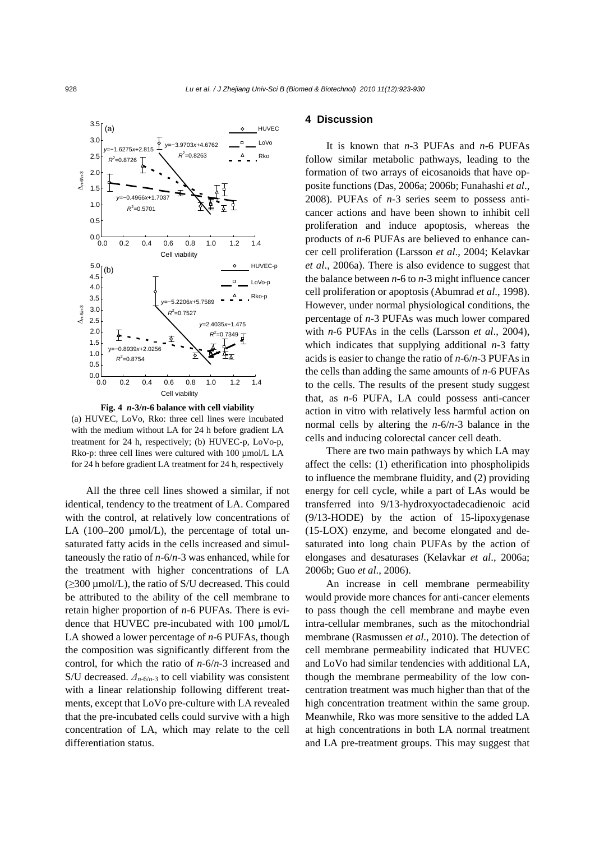

**Fig. 4** *n***-3/***n***-6 balance with cell viability**  (a) HUVEC, LoVo, Rko: three cell lines were incubated with the medium without LA for 24 h before gradient LA treatment for 24 h, respectively; (b) HUVEC-p, LoVo-p, Rko-p: three cell lines were cultured with 100 µmol/L LA for 24 h before gradient LA treatment for 24 h, respectively

All the three cell lines showed a similar, if not identical, tendency to the treatment of LA. Compared with the control, at relatively low concentrations of LA  $(100-200 \text{ µmol/L})$ , the percentage of total unsaturated fatty acids in the cells increased and simultaneously the ratio of *n*-6/*n*-3 was enhanced, while for the treatment with higher concentrations of LA (≥300 µmol/L), the ratio of S/U decreased. This could be attributed to the ability of the cell membrane to retain higher proportion of *n*-6 PUFAs. There is evidence that HUVEC pre-incubated with 100  $\mu$ mol/L LA showed a lower percentage of *n*-6 PUFAs, though the composition was significantly different from the control, for which the ratio of *n*-6/*n*-3 increased and S/U decreased.  $\Delta_{n-6/n-3}$  to cell viability was consistent with a linear relationship following different treatments, except that LoVo pre-culture with LA revealed that the pre-incubated cells could survive with a high concentration of LA, which may relate to the cell differentiation status.

## **4 Discussion**

It is known that *n*-3 PUFAs and *n*-6 PUFAs follow similar metabolic pathways, leading to the formation of two arrays of eicosanoids that have opposite functions (Das, 2006a; 2006b; Funahashi *et al*., 2008). PUFAs of *n*-3 series seem to possess anticancer actions and have been shown to inhibit cell proliferation and induce apoptosis, whereas the products of *n*-6 PUFAs are believed to enhance cancer cell proliferation (Larsson *et al*., 2004; Kelavkar *et al*., 2006a). There is also evidence to suggest that the balance between *n*-6 to *n*-3 might influence cancer cell proliferation or apoptosis (Abumrad *et al*., 1998). However, under normal physiological conditions, the percentage of *n*-3 PUFAs was much lower compared with *n*-6 PUFAs in the cells (Larsson *et al*., 2004), which indicates that supplying additional *n*-3 fatty acids is easier to change the ratio of *n*-6/*n*-3 PUFAs in the cells than adding the same amounts of *n*-6 PUFAs to the cells. The results of the present study suggest that, as *n*-6 PUFA, LA could possess anti-cancer action in vitro with relatively less harmful action on normal cells by altering the *n*-6/*n*-3 balance in the cells and inducing colorectal cancer cell death.

There are two main pathways by which LA may affect the cells: (1) etherification into phospholipids to influence the membrane fluidity, and (2) providing energy for cell cycle, while a part of LAs would be transferred into 9/13-hydroxyoctadecadienoic acid (9/13-HODE) by the action of 15-lipoxygenase (15-LOX) enzyme, and become elongated and desaturated into long chain PUFAs by the action of elongases and desaturases (Kelavkar *et al*., 2006a; 2006b; Guo *et al*., 2006).

An increase in cell membrane permeability would provide more chances for anti-cancer elements to pass though the cell membrane and maybe even intra-cellular membranes, such as the mitochondrial membrane (Rasmussen *et al*., 2010). The detection of cell membrane permeability indicated that HUVEC and LoVo had similar tendencies with additional LA, though the membrane permeability of the low concentration treatment was much higher than that of the high concentration treatment within the same group. Meanwhile, Rko was more sensitive to the added LA at high concentrations in both LA normal treatment and LA pre-treatment groups. This may suggest that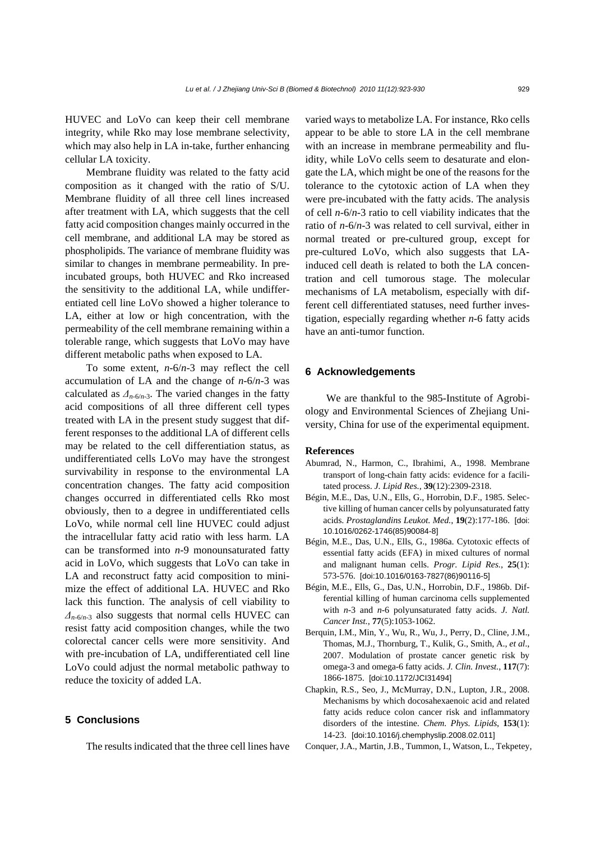HUVEC and LoVo can keep their cell membrane integrity, while Rko may lose membrane selectivity, which may also help in LA in-take, further enhancing cellular LA toxicity.

Membrane fluidity was related to the fatty acid composition as it changed with the ratio of S/U. Membrane fluidity of all three cell lines increased after treatment with LA, which suggests that the cell fatty acid composition changes mainly occurred in the cell membrane, and additional LA may be stored as phospholipids. The variance of membrane fluidity was similar to changes in membrane permeability. In preincubated groups, both HUVEC and Rko increased the sensitivity to the additional LA, while undifferentiated cell line LoVo showed a higher tolerance to LA, either at low or high concentration, with the permeability of the cell membrane remaining within a tolerable range, which suggests that LoVo may have different metabolic paths when exposed to LA.

To some extent, *n*-6/*n*-3 may reflect the cell accumulation of LA and the change of *n*-6/*n*-3 was calculated as  $\Delta_{n-6/n-3}$ . The varied changes in the fatty acid compositions of all three different cell types treated with LA in the present study suggest that different responses to the additional LA of different cells may be related to the cell differentiation status, as undifferentiated cells LoVo may have the strongest survivability in response to the environmental LA concentration changes. The fatty acid composition changes occurred in differentiated cells Rko most obviously, then to a degree in undifferentiated cells LoVo, while normal cell line HUVEC could adjust the intracellular fatty acid ratio with less harm. LA can be transformed into *n*-9 monounsaturated fatty acid in LoVo, which suggests that LoVo can take in LA and reconstruct fatty acid composition to minimize the effect of additional LA. HUVEC and Rko lack this function. The analysis of cell viability to *Δn*-6/*n*-3 also suggests that normal cells HUVEC can resist fatty acid composition changes, while the two colorectal cancer cells were more sensitivity. And with pre-incubation of LA, undifferentiated cell line LoVo could adjust the normal metabolic pathway to reduce the toxicity of added LA.

## **5 Conclusions**

The results indicated that the three cell lines have

varied ways to metabolize LA. For instance, Rko cells appear to be able to store LA in the cell membrane with an increase in membrane permeability and fluidity, while LoVo cells seem to desaturate and elongate the LA, which might be one of the reasons for the tolerance to the cytotoxic action of LA when they were pre-incubated with the fatty acids. The analysis of cell *n*-6/*n*-3 ratio to cell viability indicates that the ratio of *n*-6/*n*-3 was related to cell survival, either in normal treated or pre-cultured group, except for pre-cultured LoVo, which also suggests that LAinduced cell death is related to both the LA concentration and cell tumorous stage. The molecular mechanisms of LA metabolism, especially with different cell differentiated statuses, need further investigation, especially regarding whether *n*-6 fatty acids have an anti-tumor function.

# **6 Acknowledgements**

We are thankful to the 985-Institute of Agrobiology and Environmental Sciences of Zhejiang University, China for use of the experimental equipment.

#### **References**

- Abumrad, N., Harmon, C., Ibrahimi, A., 1998. Membrane transport of long-chain fatty acids: evidence for a facilitated process. *J. Lipid Res.*, **39**(12):2309-2318.
- Bégin, M.E., Das, U.N., Ells, G., Horrobin, D.F., 1985. Selective killing of human cancer cells by polyunsaturated fatty acids. *Prostaglandins Leukot. Med.*, **19**(2):177-186. [doi: 10.1016/0262-1746(85)90084-8]
- Bégin, M.E., Das, U.N., Ells, G., 1986a. Cytotoxic effects of essential fatty acids (EFA) in mixed cultures of normal and malignant human cells. *Progr. Lipid Res.*, **25**(1): 573-576. [doi:10.1016/0163-7827(86)90116-5]
- Bégin, M.E., Ells, G., Das, U.N., Horrobin, D.F., 1986b. Differential killing of human carcinoma cells supplemented with *n*-3 and *n*-6 polyunsaturated fatty acids. *J. Natl. Cancer Inst.*, **77**(5):1053-1062.
- Berquin, I.M., Min, Y., Wu, R., Wu, J., Perry, D., Cline, J.M., Thomas, M.J., Thornburg, T., Kulik, G., Smith, A., *et al*., 2007. Modulation of prostate cancer genetic risk by omega-3 and omega-6 fatty acids. *J. Clin. Invest.*, **117**(7): 1866-1875. [doi:10.1172/JCI31494]
- Chapkin, R.S., Seo, J., McMurray, D.N., Lupton, J.R., 2008. Mechanisms by which docosahexaenoic acid and related fatty acids reduce colon cancer risk and inflammatory disorders of the intestine. *Chem. Phys. Lipids*, **153**(1): 14-23. [doi:10.1016/j.chemphyslip.2008.02.011]
- Conquer, J.A., Martin, J.B., Tummon, I., Watson, L., Tekpetey,